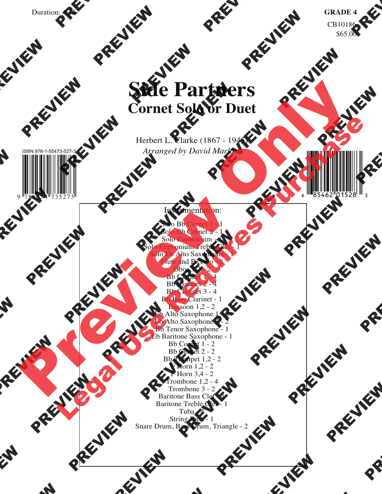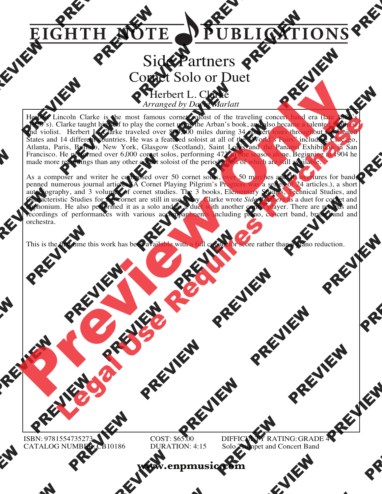## Side Partners Cornet Solo or Duet

## *Arranged by David Marlatt* Herbert L. Clarke



Herbert Lincoln Clarke is the most famous cornet soloist of the traveling concert band era (late 1880's -1920's). Clarke taught himself to play the cornet using the Arban's book, and also became a talented violinist and violist. Herbert L. Clarke traveled over 800,000 miles during 34 concert tours throughout the United States and 14 different countries. He was a featured soloist at all of the "World's Fairs" including Chicago, Atlanta, Paris, Buffalo, New York, Glasgow (Scotland), Saint Louis and the Panama Exhibition in San Francisco. He performed over 6,000 cornet solos, performing 473 in one season alone. Beginning in 1904 he made more recordings than any other cornet soloist of the period, most of which are still available. EIGHTH NOTE<br>
Side Partners<br>
Cornel Solo or Duet<br>
Herbert Lenker<br>
Martin Linker Linker<br>
Side Partners<br>
Martin Linker<br>
Martin Linker<br>
Martin Linker<br>
Martin Linker<br>
Martin Linker<br>
Martin Linker<br>
Martin Linker<br>
Martin Linker<br> PREVIEW CRAFT LEARN CREAT AND CREAT AND THE CREAT AND THE CREAT AND CREAT AND CREAT AND CREAT AND CREAT AND CREAT AND CREAT AND CREAT AND CREAT AND CREAT AND CREAT AND CREAT AND CREAT AND CREAT AND CREAT AND CREAT AND CREA Side Partners<br>
Correcte Solo or Due<br>
Herbert L. Clarks<br>
Herbert L. Clarks<br>
Herbert L. Clarks<br>
Herbert L. Clarks<br>
Herbert L. Clarks<br>
Herbert L. Clarks<br>
Herbert L. Clarks<br>
Herbert L. Clarks<br>
Herbert L. Clarks<br>
Herbert L. Cla

As a composer and writer he composed over 50 cornet solos, over 50 marches and 10 overtures for band, penned numerous journal articles (A Cornet Playing Pilgrim's Progress was a series of 24 articles.), a short autobiography, and 3 volumes of cornet studies. The 3 books, Elementary Studies, Technical Studies, and Characteristic Studies for the cornet are still in use today. Clarke wrote *Side Partners* as a duet for cornet and euphonium. He also performed it as a solo and as a duet with another cornet player. There are records and recordings of performances with various accompaniments including piano, concert band, brass band and orchestra. **EIGHTH NOTE PREVIEW PREVIEW PREVIEW PREVIEW SCHOOL SECTION CONTROLLER CONTROLLER CONTROLLER CONTROLLER CONTROLLER CONTROLLER CONTROLLER CONTROLLER CONTROLLER CONTROLLER CONTROLLER CONTROLLER CONTROLLER CONTROLLER CONTROLL EIGHTH NOTE Side Partners**<br>
Side Partners<br>
Cornet Solo or D<br>
Herbert Lincoln Clarke is the most famous comet soloist of the<br>
1920's). Clarke temple then the most famous comet soloist of the<br>
1920's Clarke temple then the **EIGHTH NOTE PUBLICATION**<br>
Side Partners<br>
Cornet Solo to Duet<br>
Herbert Lechte and Kongred by David Marine<br>
The preview preview preview preview preview preview preview preview preview preview preview preview preview preview EIGHTH NOTE PUBLICATI<br>
Side Partners<br>
Cornel Solo or Duet<br>
Herbert L. Clarke<br>
Herbert L. Clarke<br>
Herbert L. Clarke<br>
Herbert L. Clarke<br>
Herbert L. Clarke<br>
Herbert L. Clarke<br>
Herbert L. Clarke<br>
Herbert L. Clarke<br>
Herbert L. PREVIEW PREVIEW PREVIEW CONTROL CONTROL CONTROL CONTROL CONTROL CONTROL CONTROL CONTROL CONTROL CONTROL CONTROL CONTROL CONTROL CONTROL CONTROL CONTROL CONTROL CONTROL CONTROL CONTROL CONTROL CONTROL CONTROL CONTROL CONTRO PREVIEW The Charles are the comparison in the state of the comparison of the state of the comparison of the comparison of the comparison of the comparison of the comparison of the comparison of the comparison of the compar Frequency and the property of the mother connect band, brass band and<br>
second and the preview preview preview return than a piano reduction.<br>
Second and conduction<br>
COST: \$65.00 DIFFICULTY RATING: GRADE 4<br>
DURATION: 4:15 S Herbert Lincoln Clurke is the most famous correlated by David Marrier concess. The control of the control of the control of the control of the control of the control of the control of the control of the control of the cont and the six of ends tannous contracts and the traveline of the two states of the control control of the states and the tractic Legal Use Care (Section 2000) miles during 34 control of the Theorem (Section 2000) miles duri

This is the first time this work has been available with a full conductor score rather than a piano reduction. Reparation and a piano reduction.

ISBN: 9781554735273 CATALOG NUMBER: CB10186

COST: \$65.00 DURATION: 4:15 DIFFICULTY RATING:GRADE 4 Solo Trumpet and Concert Band

## **www.enpmusic.com**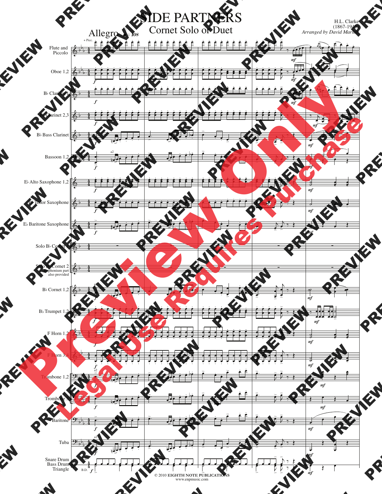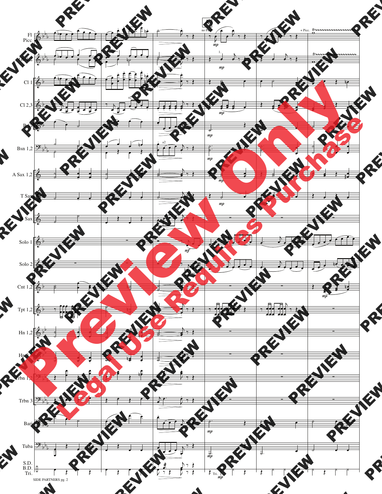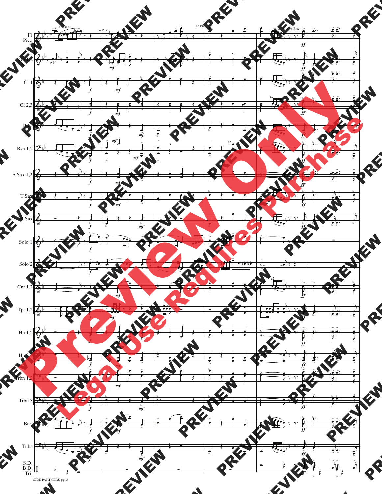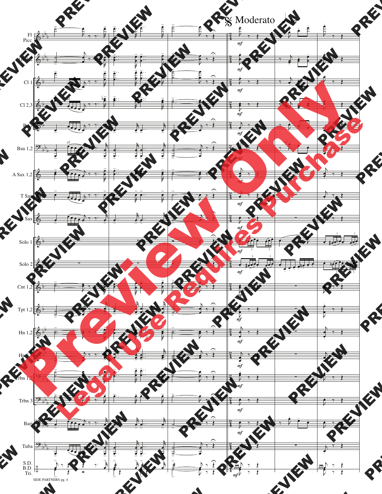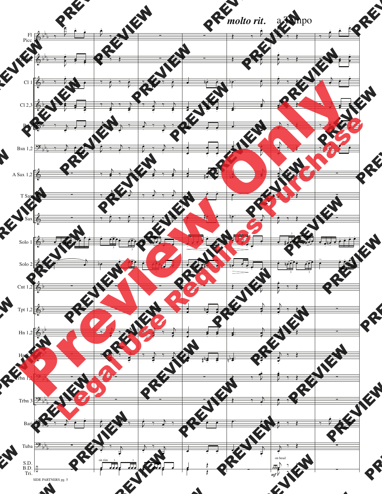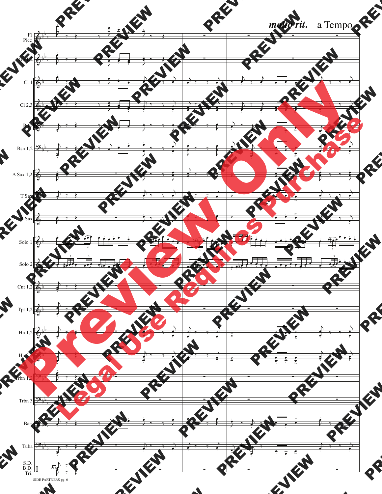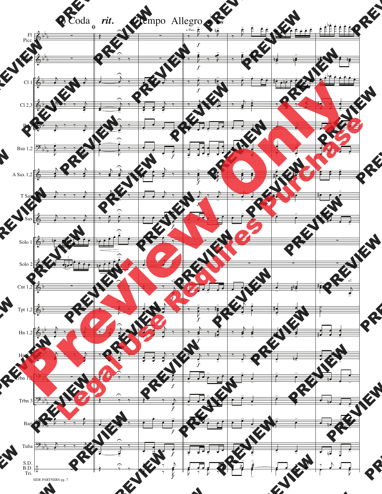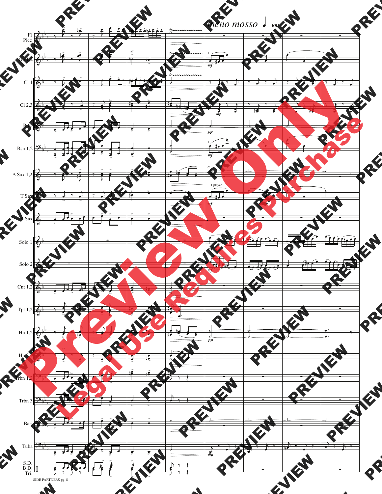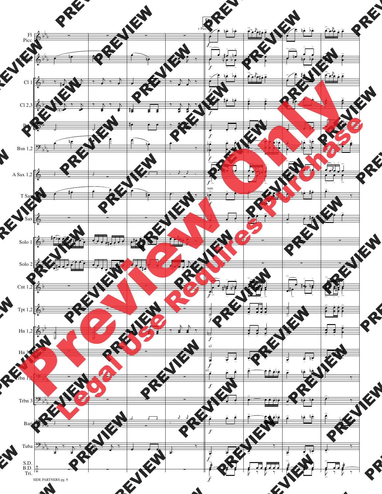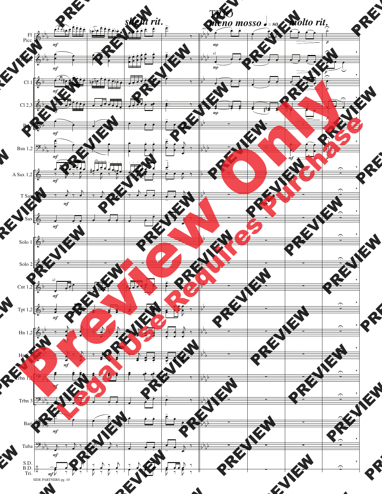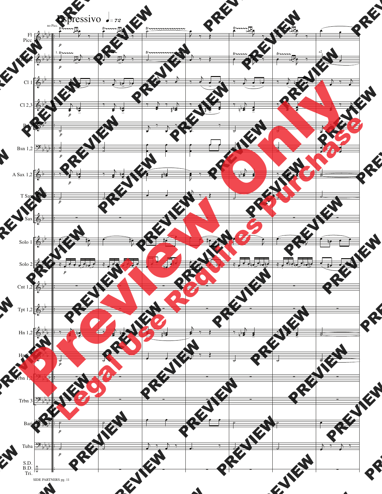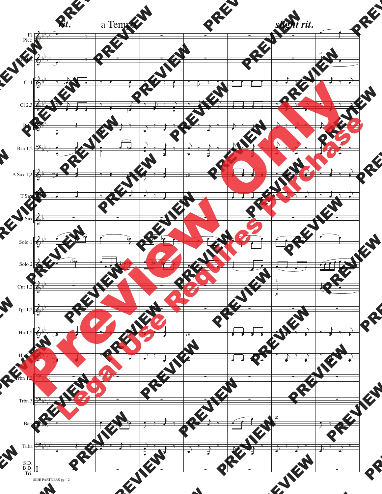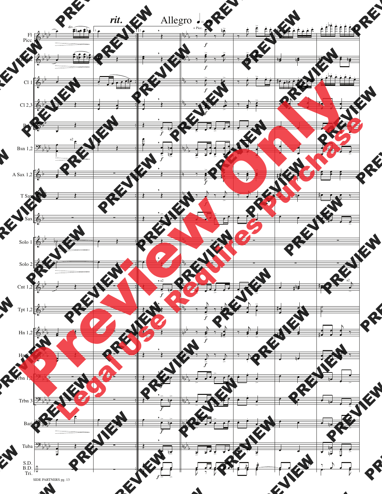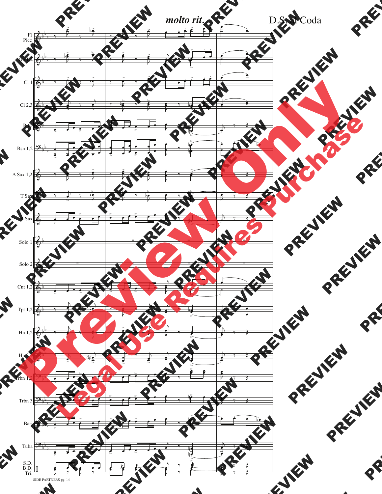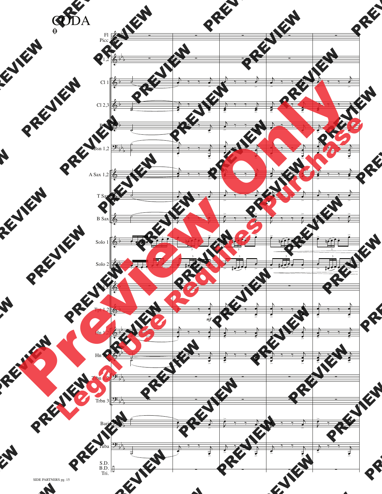CODA

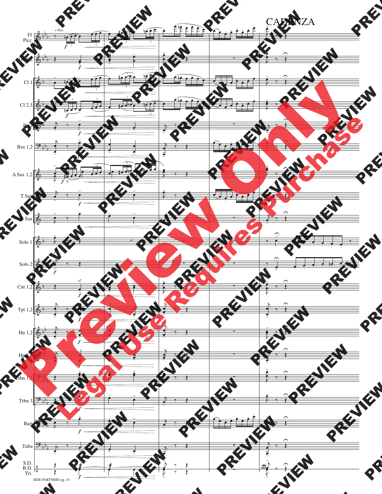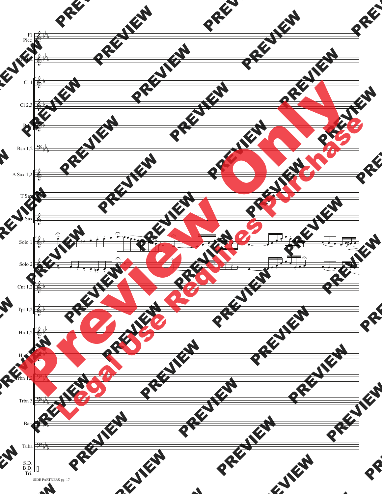